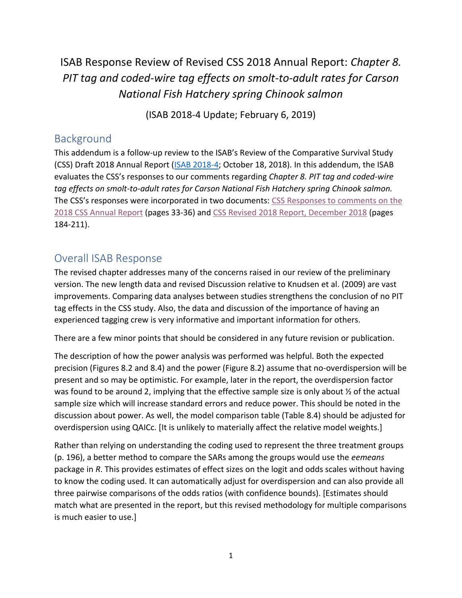# ISAB Response Review of Revised CSS 2018 Annual Report: *Chapter 8. PIT tag and coded-wire tag effects on smolt-to-adult rates for Carson National Fish Hatchery spring Chinook salmon*

(ISAB 2018-4 Update; February 6, 2019)

## Background

This addendum is a follow-up review to the ISAB's Review of the Comparative Survival Study (CSS) Draft 2018 Annual Report [\(ISAB 2018-4;](https://www.nwcouncil.org/reports/isab-review-comparative-survival-study-css-draft-2018-annual-report) October 18, 2018). In this addendum, the ISAB evaluates the CSS's responses to our comments regarding *Chapter 8. PIT tag and coded-wire tag effects on smolt-to-adult rates for Carson National Fish Hatchery spring Chinook salmon.* The CSS's responses were incorporated in two documents: [CSS Responses to comments on the](https://nwcouncil.box.com/s/uq5g1pt5wt6mb43goqgoer629sb0bedx)  [2018 CSS Annual Report](https://nwcouncil.box.com/s/uq5g1pt5wt6mb43goqgoer629sb0bedx) (pages 33-36) and [CSS Revised 2018 Report, December 2018](https://nwcouncil.box.com/s/i35uie8gxd8f7ez5e053ocm4euhv0p3d) (pages 184-211).

## Overall ISAB Response

The revised chapter addresses many of the concerns raised in our review of the preliminary version. The new length data and revised Discussion relative to Knudsen et al. (2009) are vast improvements. Comparing data analyses between studies strengthens the conclusion of no PIT tag effects in the CSS study. Also, the data and discussion of the importance of having an experienced tagging crew is very informative and important information for others.

There are a few minor points that should be considered in any future revision or publication.

The description of how the power analysis was performed was helpful. Both the expected precision (Figures 8.2 and 8.4) and the power (Figure 8.2) assume that no-overdispersion will be present and so may be optimistic. For example, later in the report, the overdispersion factor was found to be around 2, implying that the effective sample size is only about  $\frac{1}{2}$  of the actual sample size which will increase standard errors and reduce power. This should be noted in the discussion about power. As well, the model comparison table (Table 8.4) should be adjusted for overdispersion using QAICc. [It is unlikely to materially affect the relative model weights.]

Rather than relying on understanding the coding used to represent the three treatment groups (p. 196), a better method to compare the SARs among the groups would use the *eemeans* package in *R*. This provides estimates of effect sizes on the logit and odds scales without having to know the coding used. It can automatically adjust for overdispersion and can also provide all three pairwise comparisons of the odds ratios (with confidence bounds). [Estimates should match what are presented in the report, but this revised methodology for multiple comparisons is much easier to use.]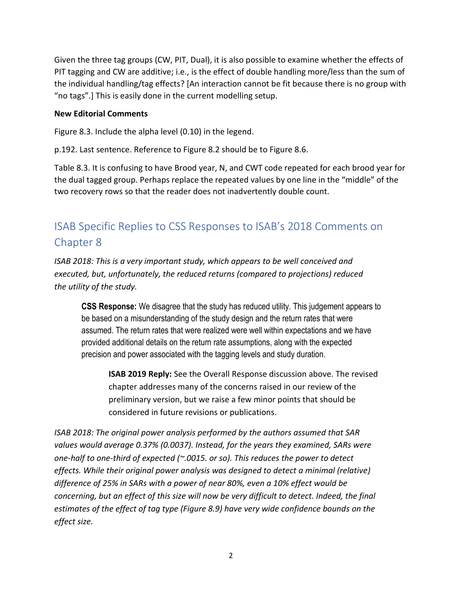Given the three tag groups (CW, PIT, Dual), it is also possible to examine whether the effects of PIT tagging and CW are additive; i.e., is the effect of double handling more/less than the sum of the individual handling/tag effects? [An interaction cannot be fit because there is no group with "no tags".] This is easily done in the current modelling setup.

#### **New Editorial Comments**

Figure 8.3. Include the alpha level (0.10) in the legend.

p.192. Last sentence. Reference to Figure 8.2 should be to Figure 8.6.

Table 8.3. It is confusing to have Brood year, N, and CWT code repeated for each brood year for the dual tagged group. Perhaps replace the repeated values by one line in the "middle" of the two recovery rows so that the reader does not inadvertently double count.

# ISAB Specific Replies to CSS Responses to ISAB's 2018 Comments on Chapter 8

*ISAB 2018: This is a very important study, which appears to be well conceived and executed, but, unfortunately, the reduced returns (compared to projections) reduced the utility of the study.*

**CSS Response:** We disagree that the study has reduced utility. This judgement appears to be based on a misunderstanding of the study design and the return rates that were assumed. The return rates that were realized were well within expectations and we have provided additional details on the return rate assumptions, along with the expected precision and power associated with the tagging levels and study duration.

**ISAB 2019 Reply:** See the Overall Response discussion above. The revised chapter addresses many of the concerns raised in our review of the preliminary version, but we raise a few minor points that should be considered in future revisions or publications.

*ISAB 2018: The original power analysis performed by the authors assumed that SAR values would average 0.37% (0.0037). Instead, for the years they examined, SARs were one-half to one-third of expected (~.0015. or so). This reduces the power to detect effects. While their original power analysis was designed to detect a minimal (relative) difference of 25% in SARs with a power of near 80%, even a 10% effect would be concerning, but an effect of this size will now be very difficult to detect. Indeed, the final estimates of the effect of tag type (Figure 8.9) have very wide confidence bounds on the effect size.*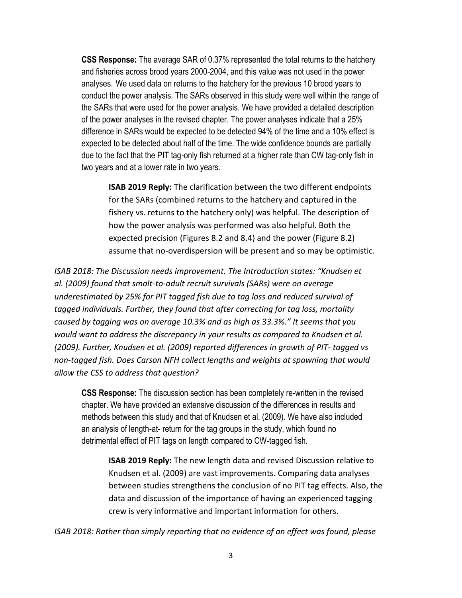**CSS Response:** The average SAR of 0.37% represented the total returns to the hatchery and fisheries across brood years 2000-2004, and this value was not used in the power analyses. We used data on returns to the hatchery for the previous 10 brood years to conduct the power analysis. The SARs observed in this study were well within the range of the SARs that were used for the power analysis. We have provided a detailed description of the power analyses in the revised chapter. The power analyses indicate that a 25% difference in SARs would be expected to be detected 94% of the time and a 10% effect is expected to be detected about half of the time. The wide confidence bounds are partially due to the fact that the PIT tag-only fish returned at a higher rate than CW tag-only fish in two years and at a lower rate in two years.

**ISAB 2019 Reply:** The clarification between the two different endpoints for the SARs (combined returns to the hatchery and captured in the fishery vs. returns to the hatchery only) was helpful. The description of how the power analysis was performed was also helpful. Both the expected precision (Figures 8.2 and 8.4) and the power (Figure 8.2) assume that no-overdispersion will be present and so may be optimistic.

*ISAB 2018: The Discussion needs improvement. The Introduction states: "Knudsen et al. (2009) found that smolt-to-adult recruit survivals (SARs) were on average underestimated by 25% for PIT tagged fish due to tag loss and reduced survival of tagged individuals. Further, they found that after correcting for tag loss, mortality caused by tagging was on average 10.3% and as high as 33.3%." It seems that you would want to address the discrepancy in your results as compared to Knudsen et al. (2009). Further, Knudsen et al. (2009) reported differences in growth of PIT- tagged vs non-tagged fish. Does Carson NFH collect lengths and weights at spawning that would allow the CSS to address that question?*

**CSS Response:** The discussion section has been completely re-written in the revised chapter. We have provided an extensive discussion of the differences in results and methods between this study and that of Knudsen et al. (2009). We have also included an analysis of length-at- return for the tag groups in the study, which found no detrimental effect of PIT tags on length compared to CW-tagged fish.

**ISAB 2019 Reply:** The new length data and revised Discussion relative to Knudsen et al. (2009) are vast improvements. Comparing data analyses between studies strengthens the conclusion of no PIT tag effects. Also, the data and discussion of the importance of having an experienced tagging crew is very informative and important information for others.

*ISAB 2018: Rather than simply reporting that no evidence of an effect was found, please*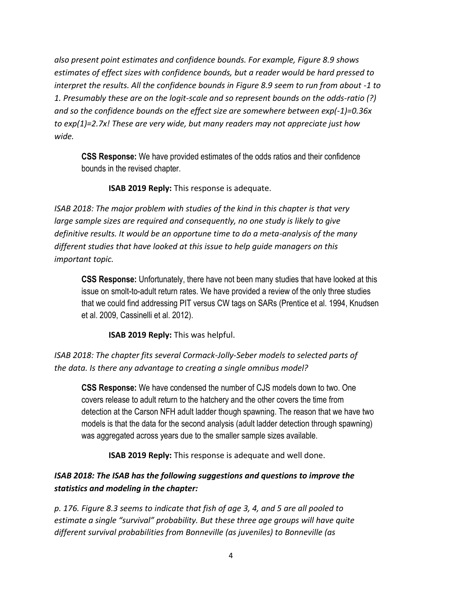*also present point estimates and confidence bounds. For example, Figure 8.9 shows estimates of effect sizes with confidence bounds, but a reader would be hard pressed to interpret the results. All the confidence bounds in Figure 8.9 seem to run from about -1 to 1. Presumably these are on the logit-scale and so represent bounds on the odds-ratio (?) and so the confidence bounds on the effect size are somewhere between exp(-1)=0.36x to exp(1)=2.7x! These are very wide, but many readers may not appreciate just how wide.*

**CSS Response:** We have provided estimates of the odds ratios and their confidence bounds in the revised chapter.

**ISAB 2019 Reply:** This response is adequate.

*ISAB 2018: The major problem with studies of the kind in this chapter is that very large sample sizes are required and consequently, no one study is likely to give definitive results. It would be an opportune time to do a meta-analysis of the many different studies that have looked at this issue to help guide managers on this important topic.*

**CSS Response:** Unfortunately, there have not been many studies that have looked at this issue on smolt-to-adult return rates. We have provided a review of the only three studies that we could find addressing PIT versus CW tags on SARs (Prentice et al. 1994, Knudsen et al. 2009, Cassinelli et al. 2012).

**ISAB 2019 Reply:** This was helpful.

*ISAB 2018: The chapter fits several Cormack-Jolly-Seber models to selected parts of the data. Is there any advantage to creating a single omnibus model?*

**CSS Response:** We have condensed the number of CJS models down to two. One covers release to adult return to the hatchery and the other covers the time from detection at the Carson NFH adult ladder though spawning. The reason that we have two models is that the data for the second analysis (adult ladder detection through spawning) was aggregated across years due to the smaller sample sizes available.

**ISAB 2019 Reply:** This response is adequate and well done.

### *ISAB 2018: The ISAB has the following suggestions and questions to improve the statistics and modeling in the chapter:*

*p. 176. Figure 8.3 seems to indicate that fish of age 3, 4, and 5 are all pooled to estimate a single "survival" probability. But these three age groups will have quite different survival probabilities from Bonneville (as juveniles) to Bonneville (as*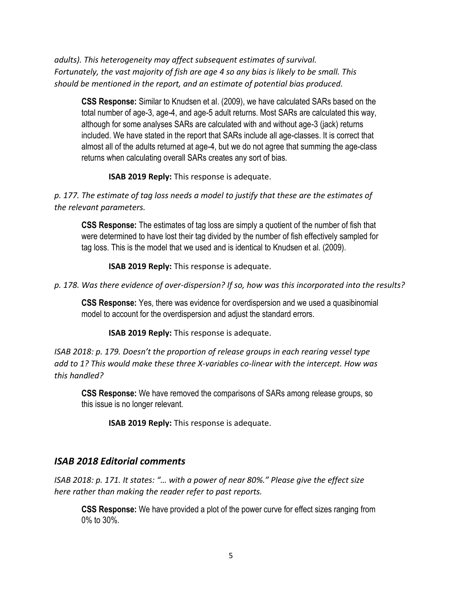*adults). This heterogeneity may affect subsequent estimates of survival. Fortunately, the vast majority of fish are age 4 so any bias is likely to be small. This should be mentioned in the report, and an estimate of potential bias produced.*

**CSS Response:** Similar to Knudsen et al. (2009), we have calculated SARs based on the total number of age-3, age-4, and age-5 adult returns. Most SARs are calculated this way, although for some analyses SARs are calculated with and without age-3 (jack) returns included. We have stated in the report that SARs include all age-classes. It is correct that almost all of the adults returned at age-4, but we do not agree that summing the age-class returns when calculating overall SARs creates any sort of bias.

**ISAB 2019 Reply:** This response is adequate.

*p. 177. The estimate of tag loss needs a model to justify that these are the estimates of the relevant parameters.*

**CSS Response:** The estimates of tag loss are simply a quotient of the number of fish that were determined to have lost their tag divided by the number of fish effectively sampled for tag loss. This is the model that we used and is identical to Knudsen et al. (2009).

**ISAB 2019 Reply:** This response is adequate.

*p. 178. Was there evidence of over-dispersion? If so, how was this incorporated into the results?*

**CSS Response:** Yes, there was evidence for overdispersion and we used a quasibinomial model to account for the overdispersion and adjust the standard errors.

**ISAB 2019 Reply:** This response is adequate.

*ISAB 2018: p. 179. Doesn't the proportion of release groups in each rearing vessel type add to 1? This would make these three X-variables co-linear with the intercept. How was this handled?*

**CSS Response:** We have removed the comparisons of SARs among release groups, so this issue is no longer relevant.

**ISAB 2019 Reply:** This response is adequate.

#### *ISAB 2018 Editorial comments*

*ISAB 2018: p. 171. It states: "… with a power of near 80%." Please give the effect size here rather than making the reader refer to past reports.*

**CSS Response:** We have provided a plot of the power curve for effect sizes ranging from 0% to 30%.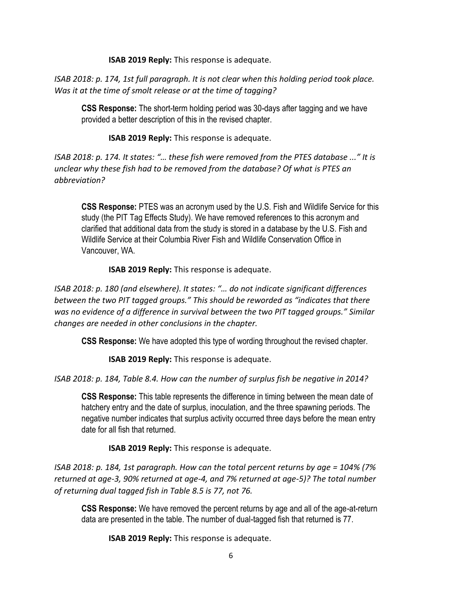**ISAB 2019 Reply:** This response is adequate.

*ISAB 2018: p. 174, 1st full paragraph. It is not clear when this holding period took place. Was it at the time of smolt release or at the time of tagging?*

**CSS Response:** The short-term holding period was 30-days after tagging and we have provided a better description of this in the revised chapter.

**ISAB 2019 Reply:** This response is adequate.

*ISAB 2018: p. 174. It states: "… these fish were removed from the PTES database ..." It is unclear why these fish had to be removed from the database? Of what is PTES an abbreviation?*

**CSS Response:** PTES was an acronym used by the U.S. Fish and Wildlife Service for this study (the PIT Tag Effects Study). We have removed references to this acronym and clarified that additional data from the study is stored in a database by the U.S. Fish and Wildlife Service at their Columbia River Fish and Wildlife Conservation Office in Vancouver, WA.

**ISAB 2019 Reply:** This response is adequate.

*ISAB 2018: p. 180 (and elsewhere). It states: "… do not indicate significant differences between the two PIT tagged groups." This should be reworded as "indicates that there was no evidence of a difference in survival between the two PIT tagged groups." Similar changes are needed in other conclusions in the chapter.*

**CSS Response:** We have adopted this type of wording throughout the revised chapter.

**ISAB 2019 Reply:** This response is adequate.

*ISAB 2018: p. 184, Table 8.4. How can the number of surplus fish be negative in 2014?*

**CSS Response:** This table represents the difference in timing between the mean date of hatchery entry and the date of surplus, inoculation, and the three spawning periods. The negative number indicates that surplus activity occurred three days before the mean entry date for all fish that returned.

**ISAB 2019 Reply:** This response is adequate.

*ISAB 2018: p. 184, 1st paragraph. How can the total percent returns by age = 104% (7% returned at age-3, 90% returned at age-4, and 7% returned at age-5)? The total number of returning dual tagged fish in Table 8.5 is 77, not 76.*

**CSS Response:** We have removed the percent returns by age and all of the age-at-return data are presented in the table. The number of dual-tagged fish that returned is 77.

**ISAB 2019 Reply:** This response is adequate.